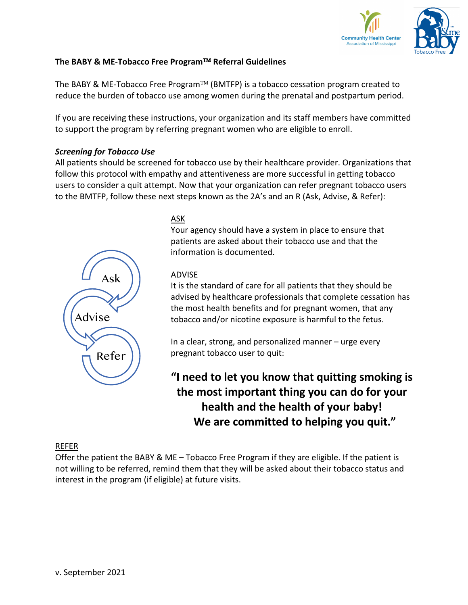

# **The BABY & ME-Tobacco Free Program™ Referral Guidelines**

The BABY & ME-Tobacco Free Program<sup>TM</sup> (BMTFP) is a tobacco cessation program created to reduce the burden of tobacco use among women during the prenatal and postpartum period.

If you are receiving these instructions, your organization and its staff members have committed to support the program by referring pregnant women who are eligible to enroll.

#### *Screening for Tobacco Use*

All patients should be screened for tobacco use by their healthcare provider. Organizations that follow this protocol with empathy and attentiveness are more successful in getting tobacco users to consider a quit attempt. Now that your organization can refer pregnant tobacco users to the BMTFP, follow these next steps known as the 2A's and an R (Ask, Advise, & Refer):



## ASK

Your agency should have a system in place to ensure that patients are asked about their tobacco use and that the information is documented.

## ADVISE

It is the standard of care for all patients that they should be advised by healthcare professionals that complete cessation has the most health benefits and for pregnant women, that any tobacco and/or nicotine exposure is harmful to the fetus.

In a clear, strong, and personalized manner – urge every pregnant tobacco user to quit:

**"I need to let you know that quitting smoking is the most important thing you can do for your health and the health of your baby! We are committed to helping you quit."**

## REFER

Offer the patient the BABY & ME – Tobacco Free Program if they are eligible. If the patient is not willing to be referred, remind them that they will be asked about their tobacco status and interest in the program (if eligible) at future visits.